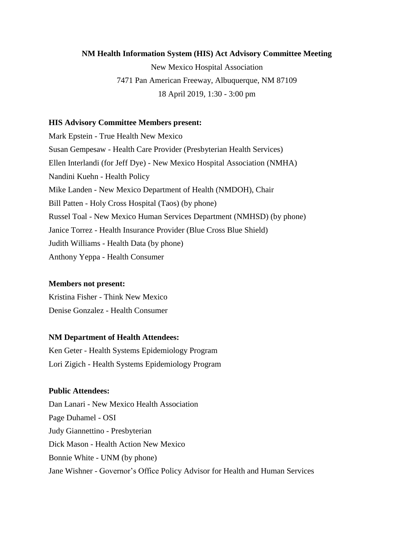#### **NM Health Information System (HIS) Act Advisory Committee Meeting**

New Mexico Hospital Association 7471 Pan American Freeway, Albuquerque, NM 87109 18 April 2019, 1:30 - 3:00 pm

#### **HIS Advisory Committee Members present:**

Mark Epstein - True Health New Mexico Susan Gempesaw - Health Care Provider (Presbyterian Health Services) Ellen Interlandi (for Jeff Dye) - New Mexico Hospital Association (NMHA) Nandini Kuehn - Health Policy Mike Landen - New Mexico Department of Health (NMDOH), Chair Bill Patten - Holy Cross Hospital (Taos) (by phone) Russel Toal - New Mexico Human Services Department (NMHSD) (by phone) Janice Torrez - Health Insurance Provider (Blue Cross Blue Shield) Judith Williams - Health Data (by phone) Anthony Yeppa - Health Consumer

#### **Members not present:**

Kristina Fisher - Think New Mexico Denise Gonzalez - Health Consumer

#### **NM Department of Health Attendees:**

Ken Geter - Health Systems Epidemiology Program Lori Zigich - Health Systems Epidemiology Program

#### **Public Attendees:**

Dan Lanari - New Mexico Health Association Page Duhamel - OSI Judy Giannettino - Presbyterian Dick Mason - Health Action New Mexico Bonnie White - UNM (by phone) Jane Wishner - Governor's Office Policy Advisor for Health and Human Services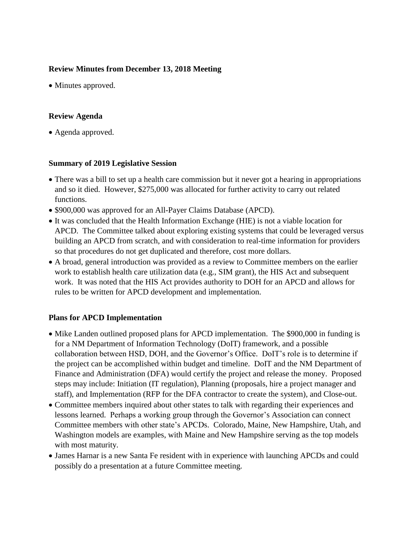## **Review Minutes from December 13, 2018 Meeting**

• Minutes approved.

## **Review Agenda**

• Agenda approved.

## **Summary of 2019 Legislative Session**

- There was a bill to set up a health care commission but it never got a hearing in appropriations and so it died. However, \$275,000 was allocated for further activity to carry out related functions.
- \$900,000 was approved for an All-Payer Claims Database (APCD).
- It was concluded that the Health Information Exchange (HIE) is not a viable location for APCD. The Committee talked about exploring existing systems that could be leveraged versus building an APCD from scratch, and with consideration to real-time information for providers so that procedures do not get duplicated and therefore, cost more dollars.
- A broad, general introduction was provided as a review to Committee members on the earlier work to establish health care utilization data (e.g., SIM grant), the HIS Act and subsequent work. It was noted that the HIS Act provides authority to DOH for an APCD and allows for rules to be written for APCD development and implementation.

# **Plans for APCD Implementation**

- Mike Landen outlined proposed plans for APCD implementation. The \$900,000 in funding is for a NM Department of Information Technology (DoIT) framework, and a possible collaboration between HSD, DOH, and the Governor's Office. DoIT's role is to determine if the project can be accomplished within budget and timeline. DoIT and the NM Department of Finance and Administration (DFA) would certify the project and release the money. Proposed steps may include: Initiation (IT regulation), Planning (proposals, hire a project manager and staff), and Implementation (RFP for the DFA contractor to create the system), and Close-out.
- Committee members inquired about other states to talk with regarding their experiences and lessons learned. Perhaps a working group through the Governor's Association can connect Committee members with other state's APCDs. Colorado, Maine, New Hampshire, Utah, and Washington models are examples, with Maine and New Hampshire serving as the top models with most maturity.
- James Harnar is a new Santa Fe resident with in experience with launching APCDs and could possibly do a presentation at a future Committee meeting.